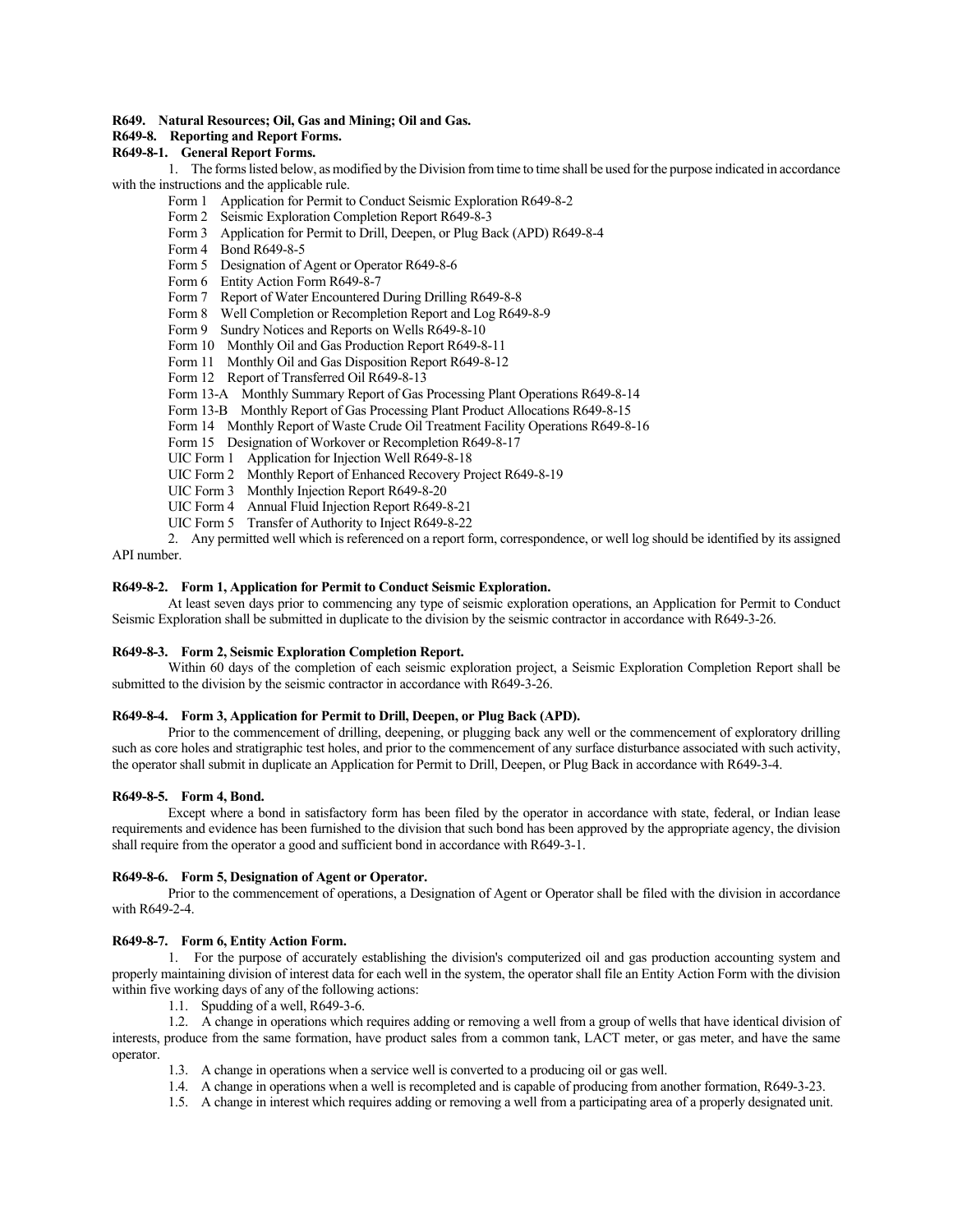# **R649. Natural Resources; Oil, Gas and Mining; Oil and Gas.**

# **R649-8. Reporting and Report Forms.**

# **R649-8-1. General Report Forms.**

1. The forms listed below, as modified by the Division from time to time shall be used for the purpose indicated in accordance with the instructions and the applicable rule.

- Form 1 Application for Permit to Conduct Seismic Exploration R649-8-2
- Form 2 Seismic Exploration Completion Report R649-8-3
- Form 3 Application for Permit to Drill, Deepen, or Plug Back (APD) R649-8-4
- Form 4 Bond R649-8-5
- Form 5 Designation of Agent or Operator R649-8-6
- Form 6 Entity Action Form R649-8-7
- Form 7 Report of Water Encountered During Drilling R649-8-8
- Form 8 Well Completion or Recompletion Report and Log R649-8-9
- Form 9 Sundry Notices and Reports on Wells R649-8-10
- Form 10 Monthly Oil and Gas Production Report R649-8-11
- Form 11 Monthly Oil and Gas Disposition Report R649-8-12
- Form 12 Report of Transferred Oil R649-8-13
- Form 13-A Monthly Summary Report of Gas Processing Plant Operations R649-8-14
- Form 13-B Monthly Report of Gas Processing Plant Product Allocations R649-8-15
- Form 14 Monthly Report of Waste Crude Oil Treatment Facility Operations R649-8-16
- Form 15 Designation of Workover or Recompletion R649-8-17
- UIC Form 1 Application for Injection Well R649-8-18
- UIC Form 2 Monthly Report of Enhanced Recovery Project R649-8-19
- UIC Form 3 Monthly Injection Report R649-8-20
- UIC Form 4 Annual Fluid Injection Report R649-8-21
- UIC Form 5 Transfer of Authority to Inject R649-8-22

2. Any permitted well which is referenced on a report form, correspondence, or well log should be identified by its assigned API number.

#### **R649-8-2. Form 1, Application for Permit to Conduct Seismic Exploration.**

At least seven days prior to commencing any type of seismic exploration operations, an Application for Permit to Conduct Seismic Exploration shall be submitted in duplicate to the division by the seismic contractor in accordance with R649-3-26.

#### **R649-8-3. Form 2, Seismic Exploration Completion Report.**

Within 60 days of the completion of each seismic exploration project, a Seismic Exploration Completion Report shall be submitted to the division by the seismic contractor in accordance with R649-3-26.

# **R649-8-4. Form 3, Application for Permit to Drill, Deepen, or Plug Back (APD).**

Prior to the commencement of drilling, deepening, or plugging back any well or the commencement of exploratory drilling such as core holes and stratigraphic test holes, and prior to the commencement of any surface disturbance associated with such activity, the operator shall submit in duplicate an Application for Permit to Drill, Deepen, or Plug Back in accordance with R649-3-4.

# **R649-8-5. Form 4, Bond.**

Except where a bond in satisfactory form has been filed by the operator in accordance with state, federal, or Indian lease requirements and evidence has been furnished to the division that such bond has been approved by the appropriate agency, the division shall require from the operator a good and sufficient bond in accordance with R649-3-1.

# **R649-8-6. Form 5, Designation of Agent or Operator.**

Prior to the commencement of operations, a Designation of Agent or Operator shall be filed with the division in accordance with R649-2-4.

#### **R649-8-7. Form 6, Entity Action Form.**

1. For the purpose of accurately establishing the division's computerized oil and gas production accounting system and properly maintaining division of interest data for each well in the system, the operator shall file an Entity Action Form with the division within five working days of any of the following actions:

1.1. Spudding of a well, R649-3-6.

1.2. A change in operations which requires adding or removing a well from a group of wells that have identical division of interests, produce from the same formation, have product sales from a common tank, LACT meter, or gas meter, and have the same operator.

- 1.3. A change in operations when a service well is converted to a producing oil or gas well.
- 1.4. A change in operations when a well is recompleted and is capable of producing from another formation, R649-3-23.
- 1.5. A change in interest which requires adding or removing a well from a participating area of a properly designated unit.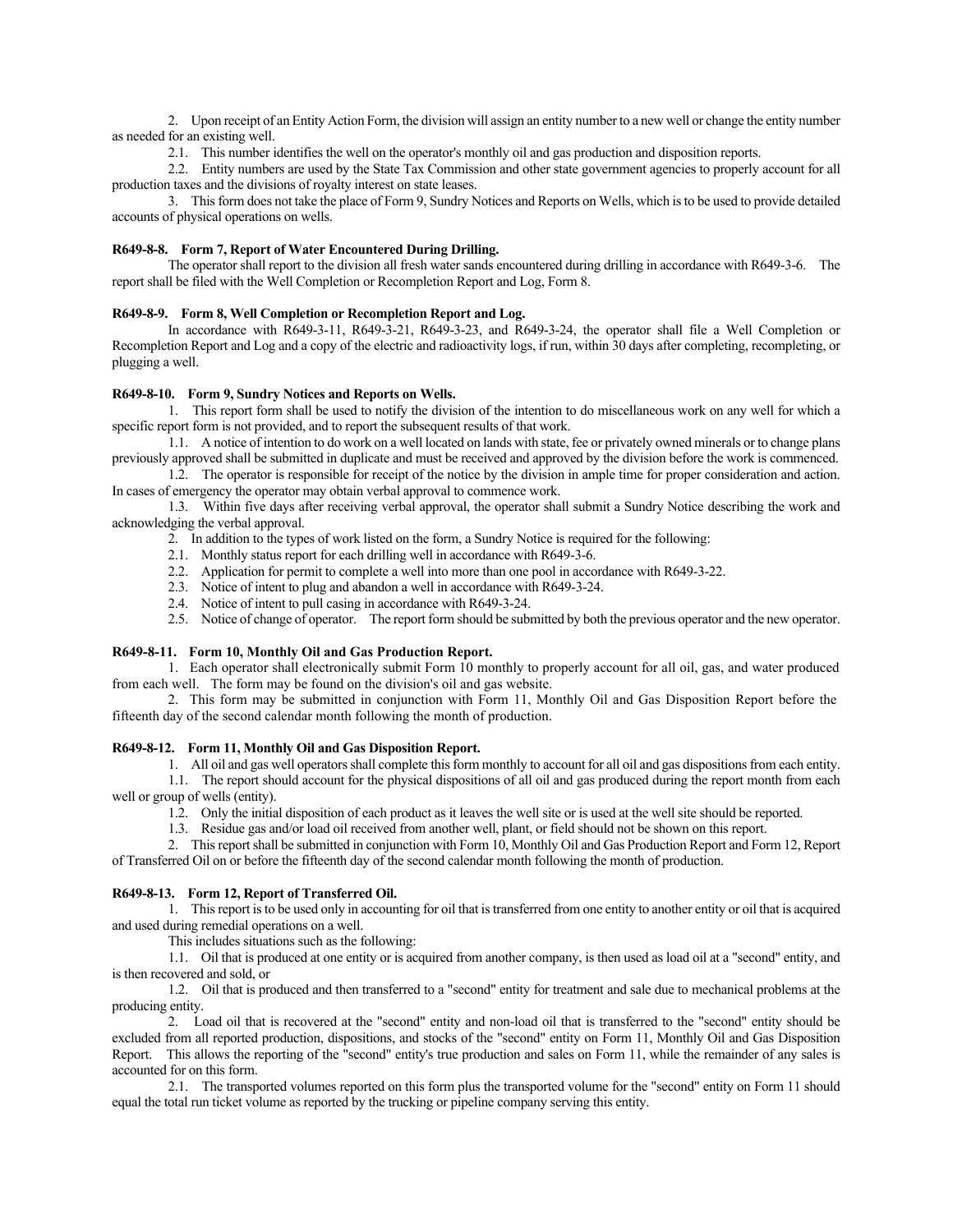2. Upon receipt of an Entity Action Form, the division will assign an entity number to a new well or change the entity number as needed for an existing well.

2.1. This number identifies the well on the operator's monthly oil and gas production and disposition reports.

2.2. Entity numbers are used by the State Tax Commission and other state government agencies to properly account for all production taxes and the divisions of royalty interest on state leases.

3. This form does not take the place of Form 9, Sundry Notices and Reports on Wells, which is to be used to provide detailed accounts of physical operations on wells.

# **R649-8-8. Form 7, Report of Water Encountered During Drilling.**

The operator shall report to the division all fresh water sands encountered during drilling in accordance with R649-3-6. The report shall be filed with the Well Completion or Recompletion Report and Log, Form 8.

# **R649-8-9. Form 8, Well Completion or Recompletion Report and Log.**

In accordance with R649-3-11, R649-3-21, R649-3-23, and R649-3-24, the operator shall file a Well Completion or Recompletion Report and Log and a copy of the electric and radioactivity logs, if run, within 30 days after completing, recompleting, or plugging a well.

# **R649-8-10. Form 9, Sundry Notices and Reports on Wells.**

1. This report form shall be used to notify the division of the intention to do miscellaneous work on any well for which a specific report form is not provided, and to report the subsequent results of that work.

1.1. A notice of intention to do work on a well located on lands with state, fee or privately owned minerals or to change plans previously approved shall be submitted in duplicate and must be received and approved by the division before the work is commenced.

1.2. The operator is responsible for receipt of the notice by the division in ample time for proper consideration and action. In cases of emergency the operator may obtain verbal approval to commence work.

1.3. Within five days after receiving verbal approval, the operator shall submit a Sundry Notice describing the work and acknowledging the verbal approval.

- 2. In addition to the types of work listed on the form, a Sundry Notice is required for the following:
- 2.1. Monthly status report for each drilling well in accordance with R649-3-6.
- 2.2. Application for permit to complete a well into more than one pool in accordance with R649-3-22.
- 2.3. Notice of intent to plug and abandon a well in accordance with R649-3-24.
- 2.4. Notice of intent to pull casing in accordance with R649-3-24.

2.5. Notice of change of operator. The report form should be submitted by both the previous operator and the new operator.

#### **R649-8-11. Form 10, Monthly Oil and Gas Production Report.**

1. Each operator shall electronically submit Form 10 monthly to properly account for all oil, gas, and water produced from each well. The form may be found on the division's oil and gas website.

2. This form may be submitted in conjunction with Form 11, Monthly Oil and Gas Disposition Report before the fifteenth day of the second calendar month following the month of production.

#### **R649-8-12. Form 11, Monthly Oil and Gas Disposition Report.**

1. All oil and gas well operators shall complete this form monthly to account for all oil and gas dispositions from each entity.

1.1. The report should account for the physical dispositions of all oil and gas produced during the report month from each well or group of wells (entity).

1.2. Only the initial disposition of each product as it leaves the well site or is used at the well site should be reported.

1.3. Residue gas and/or load oil received from another well, plant, or field should not be shown on this report.

2. This report shall be submitted in conjunction with Form 10, Monthly Oil and Gas Production Report and Form 12, Report of Transferred Oil on or before the fifteenth day of the second calendar month following the month of production.

# **R649-8-13. Form 12, Report of Transferred Oil.**

1. This report is to be used only in accounting for oil that is transferred from one entity to another entity or oil that is acquired and used during remedial operations on a well.

This includes situations such as the following:

1.1. Oil that is produced at one entity or is acquired from another company, is then used as load oil at a "second" entity, and is then recovered and sold, or

1.2. Oil that is produced and then transferred to a "second" entity for treatment and sale due to mechanical problems at the producing entity.

2. Load oil that is recovered at the "second" entity and non-load oil that is transferred to the "second" entity should be excluded from all reported production, dispositions, and stocks of the "second" entity on Form 11, Monthly Oil and Gas Disposition Report. This allows the reporting of the "second" entity's true production and sales on Form 11, while the remainder of any sales is accounted for on this form.

2.1. The transported volumes reported on this form plus the transported volume for the "second" entity on Form 11 should equal the total run ticket volume as reported by the trucking or pipeline company serving this entity.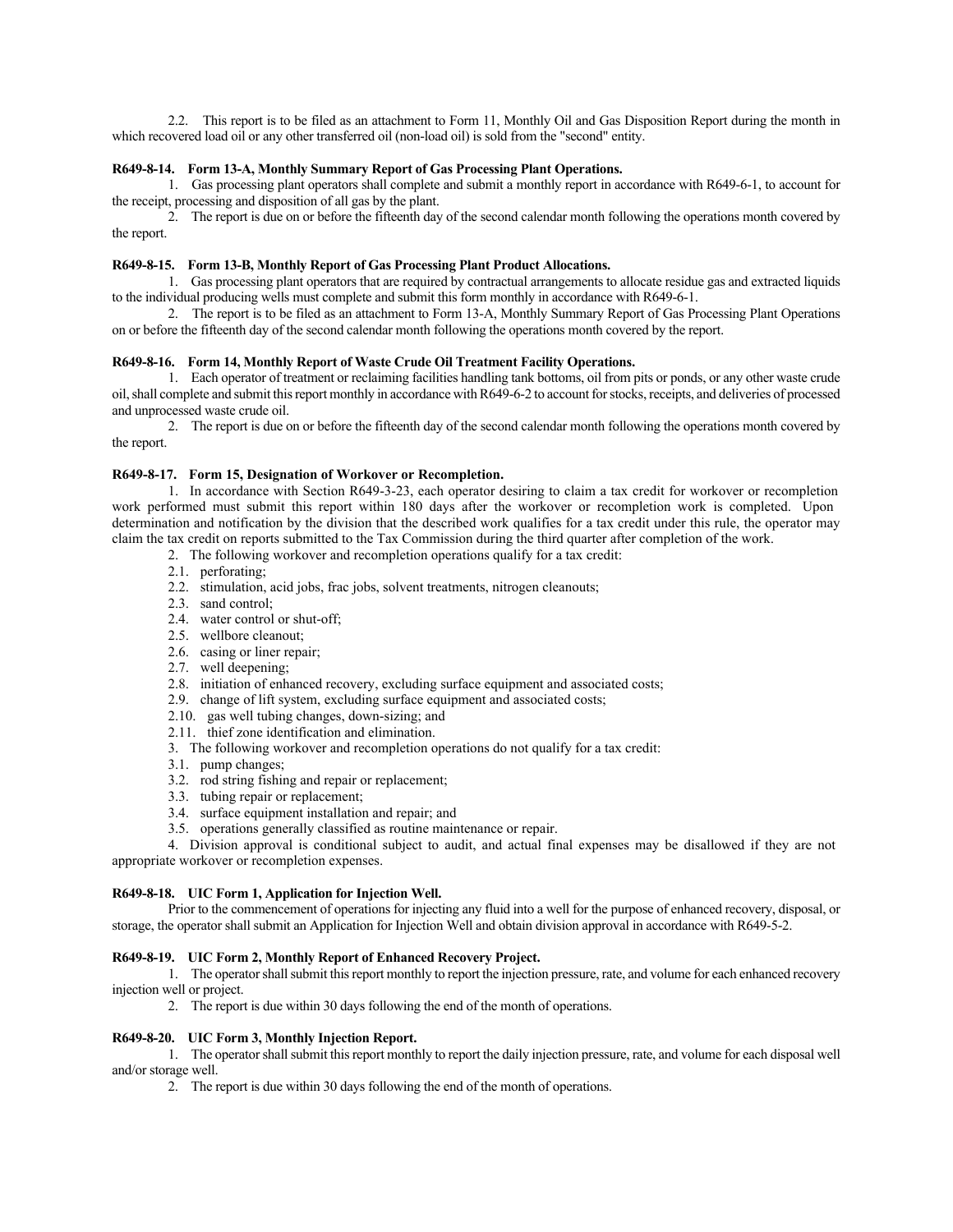2.2. This report is to be filed as an attachment to Form 11, Monthly Oil and Gas Disposition Report during the month in which recovered load oil or any other transferred oil (non-load oil) is sold from the "second" entity.

# **R649-8-14. Form 13-A, Monthly Summary Report of Gas Processing Plant Operations.**

1. Gas processing plant operators shall complete and submit a monthly report in accordance with R649-6-1, to account for the receipt, processing and disposition of all gas by the plant.

2. The report is due on or before the fifteenth day of the second calendar month following the operations month covered by the report.

# **R649-8-15. Form 13-B, Monthly Report of Gas Processing Plant Product Allocations.**

1. Gas processing plant operators that are required by contractual arrangements to allocate residue gas and extracted liquids to the individual producing wells must complete and submit this form monthly in accordance with R649-6-1.

2. The report is to be filed as an attachment to Form 13-A, Monthly Summary Report of Gas Processing Plant Operations on or before the fifteenth day of the second calendar month following the operations month covered by the report.

# **R649-8-16. Form 14, Monthly Report of Waste Crude Oil Treatment Facility Operations.**

1. Each operator of treatment or reclaiming facilities handling tank bottoms, oil from pits or ponds, or any other waste crude oil, shall complete and submit this report monthly in accordance with R649-6-2 to account for stocks, receipts, and deliveries of processed and unprocessed waste crude oil.

2. The report is due on or before the fifteenth day of the second calendar month following the operations month covered by the report.

# **R649-8-17. Form 15, Designation of Workover or Recompletion.**

1. In accordance with Section R649-3-23, each operator desiring to claim a tax credit for workover or recompletion work performed must submit this report within 180 days after the workover or recompletion work is completed. Upon determination and notification by the division that the described work qualifies for a tax credit under this rule, the operator may claim the tax credit on reports submitted to the Tax Commission during the third quarter after completion of the work.

- 2. The following workover and recompletion operations qualify for a tax credit:
- 2.1. perforating;
- 2.2. stimulation, acid jobs, frac jobs, solvent treatments, nitrogen cleanouts;
- 2.3. sand control;
- 2.4. water control or shut-off;
- 2.5. wellbore cleanout;
- 2.6. casing or liner repair;
- 2.7. well deepening;
- 2.8. initiation of enhanced recovery, excluding surface equipment and associated costs;
- 2.9. change of lift system, excluding surface equipment and associated costs;
- 2.10. gas well tubing changes, down-sizing; and
- 2.11. thief zone identification and elimination.
- 3. The following workover and recompletion operations do not qualify for a tax credit:
- 3.1. pump changes;
- 3.2. rod string fishing and repair or replacement;
- 3.3. tubing repair or replacement;
- 3.4. surface equipment installation and repair; and
- 3.5. operations generally classified as routine maintenance or repair.

4. Division approval is conditional subject to audit, and actual final expenses may be disallowed if they are not appropriate workover or recompletion expenses.

#### **R649-8-18. UIC Form 1, Application for Injection Well.**

Prior to the commencement of operations for injecting any fluid into a well for the purpose of enhanced recovery, disposal, or storage, the operator shall submit an Application for Injection Well and obtain division approval in accordance with R649-5-2.

# **R649-8-19. UIC Form 2, Monthly Report of Enhanced Recovery Project.**

1. The operator shall submit this report monthly to report the injection pressure, rate, and volume for each enhanced recovery injection well or project.

2. The report is due within 30 days following the end of the month of operations.

# **R649-8-20. UIC Form 3, Monthly Injection Report.**

1. The operator shall submit this report monthly to report the daily injection pressure, rate, and volume for each disposal well and/or storage well.

2. The report is due within 30 days following the end of the month of operations.